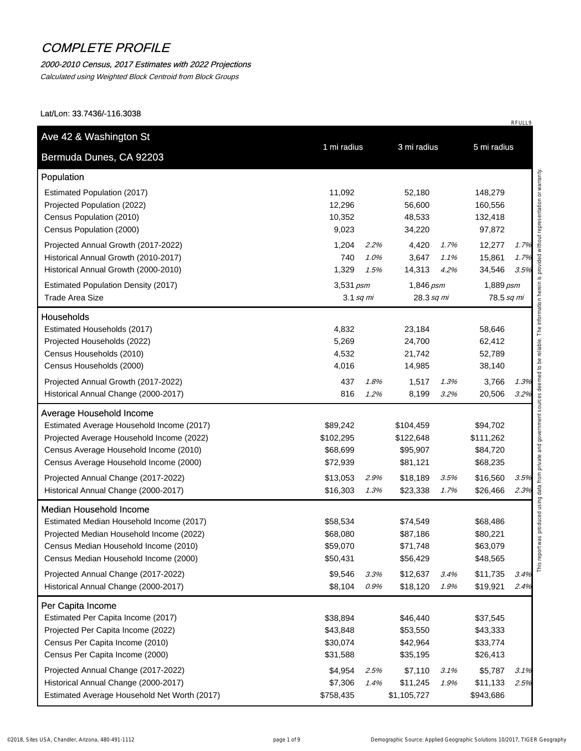#### 2000-2010 Census, 2017 Estimates with 2022 Projections

Calculated using Weighted Block Centroid from Block Groups

Lat/Lon: 33.7436/-116.3038

| Bermuda Dunes, CA 92203                      |             |      |             |      |            |      |
|----------------------------------------------|-------------|------|-------------|------|------------|------|
| Population                                   |             |      |             |      |            |      |
| Estimated Population (2017)                  | 11,092      |      | 52,180      |      | 148,279    |      |
| Projected Population (2022)                  | 12,296      |      | 56,600      |      | 160,556    |      |
| Census Population (2010)                     | 10,352      |      | 48,533      |      | 132,418    |      |
| Census Population (2000)                     | 9,023       |      | 34,220      |      | 97,872     |      |
| Projected Annual Growth (2017-2022)          | 1,204       | 2.2% | 4,420       | 1.7% | 12,277     | 1.7% |
| Historical Annual Growth (2010-2017)         | 740         | 1.0% | 3,647       | 1.1% | 15,861     | 1.7% |
| Historical Annual Growth (2000-2010)         | 1,329       | 1.5% | 14,313      | 4.2% | 34,546     | 3.5% |
| <b>Estimated Population Density (2017)</b>   | 3,531 psm   |      | 1,846 psm   |      | 1,889 psm  |      |
| <b>Trade Area Size</b>                       | $3.1$ sq mi |      | 28.3 sq mi  |      | 78.5 sq mi |      |
| <b>Households</b>                            |             |      |             |      |            |      |
| Estimated Households (2017)                  | 4,832       |      | 23,184      |      | 58,646     |      |
| Projected Households (2022)                  | 5,269       |      | 24,700      |      | 62,412     |      |
| Census Households (2010)                     | 4,532       |      | 21,742      |      | 52,789     |      |
| Census Households (2000)                     | 4,016       |      | 14,985      |      | 38,140     |      |
| Projected Annual Growth (2017-2022)          | 437         | 1.8% | 1,517       | 1.3% | 3,766      | 1.3% |
| Historical Annual Change (2000-2017)         | 816         | 1.2% | 8,199       | 3.2% | 20,506     | 3.2% |
| <b>Average Household Income</b>              |             |      |             |      |            |      |
| Estimated Average Household Income (2017)    | \$89,242    |      | \$104,459   |      | \$94,702   |      |
| Projected Average Household Income (2022)    | \$102,295   |      | \$122,648   |      | \$111,262  |      |
| Census Average Household Income (2010)       | \$68,699    |      | \$95,907    |      | \$84,720   |      |
| Census Average Household Income (2000)       | \$72,939    |      | \$81,121    |      | \$68,235   |      |
| Projected Annual Change (2017-2022)          | \$13,053    | 2.9% | \$18,189    | 3.5% | \$16,560   | 3.5% |
| Historical Annual Change (2000-2017)         | \$16,303    | 1.3% | \$23,338    | 1.7% | \$26,466   | 2.3% |
| <b>Median Household Income</b>               |             |      |             |      |            |      |
| Estimated Median Household Income (2017)     | \$58,534    |      | \$74,549    |      | \$68,486   |      |
| Projected Median Household Income (2022)     | \$68,080    |      | \$87,186    |      | \$80,221   |      |
| Census Median Household Income (2010)        | \$59,070    |      | \$71,748    |      | \$63,079   |      |
| Census Median Household Income (2000)        | \$50,431    |      | \$56,429    |      | \$48,565   |      |
| Projected Annual Change (2017-2022)          | \$9,546     | 3.3% | \$12,637    | 3.4% | \$11,735   | 3.4% |
| Historical Annual Change (2000-2017)         | \$8,104     | 0.9% | \$18,120    | 1.9% | \$19,921   | 2.4% |
| Per Capita Income                            |             |      |             |      |            |      |
| Estimated Per Capita Income (2017)           | \$38,894    |      | \$46,440    |      | \$37,545   |      |
| Projected Per Capita Income (2022)           | \$43,848    |      | \$53,550    |      | \$43,333   |      |
| Census Per Capita Income (2010)              | \$30,074    |      | \$42,964    |      | \$33,774   |      |
| Census Per Capita Income (2000)              | \$31,588    |      | \$35,195    |      | \$26,413   |      |
| Projected Annual Change (2017-2022)          | \$4,954     | 2.5% | \$7,110     | 3.1% | \$5,787    | 3.1% |
| Historical Annual Change (2000-2017)         | \$7,306     | 1.4% | \$11,245    | 1.9% | \$11,133   | 2.5% |
| Estimated Average Household Net Worth (2017) | \$758,435   |      | \$1,105,727 |      | \$943,686  |      |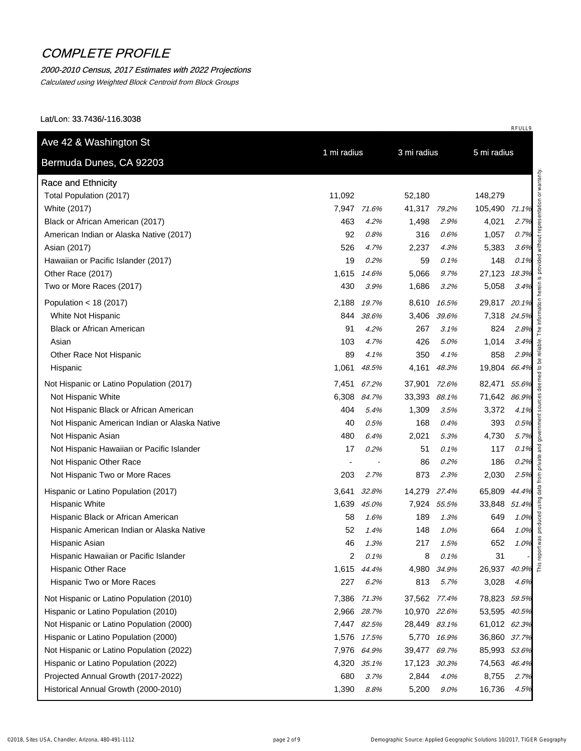### 2000-2010 Census, 2017 Estimates with 2022 Projections

Calculated using Weighted Block Centroid from Block Groups

| Bermuda Dunes, CA 92203                       | 1 mi radius |             | 3 mi radius  |             |               |                                              |
|-----------------------------------------------|-------------|-------------|--------------|-------------|---------------|----------------------------------------------|
| <b>Race and Ethnicity</b>                     |             |             |              |             |               |                                              |
| Total Population (2017)                       | 11,092      |             | 52,180       |             | 148,279       |                                              |
| White (2017)                                  |             | 7,947 71.6% | 41,317 79.2% |             | 105,490 71.1% |                                              |
| Black or African American (2017)              | 463         | 4.2%        | 1,498        | 2.9%        | 4,021         | 2.7%                                         |
| American Indian or Alaska Native (2017)       | 92          | 0.8%        | 316          | 0.6%        | 1,057         | 0.7%                                         |
| Asian (2017)                                  | 526         | 4.7%        | 2,237        | 4.3%        | 5,383         | 3.6%                                         |
| Hawaiian or Pacific Islander (2017)           | 19          | 0.2%        | 59           | 0.1%        | 148           | 0.1%                                         |
| Other Race (2017)                             | 1,615       | 14.6%       | 5,066        | 9.7%        | 27,123 18.3%  |                                              |
| Two or More Races (2017)                      | 430         | 3.9%        | 1,686        | 3.2%        | 5,058         | 3.4%                                         |
| Population < $18(2017)$                       | 2,188       | 19.7%       | 8,610        | 16.5%       | 29,817 20.1%  |                                              |
| White Not Hispanic                            | 844         | 38.6%       | 3,406        | 39.6%       | 7,318 24.5%   |                                              |
| <b>Black or African American</b>              | 91          | 4.2%        | 267          | 3.1%        | 824           | 2.8%                                         |
| Asian                                         | 103         | 4.7%        | 426          | 5.0%        | 1,014         | 3.4%                                         |
| Other Race Not Hispanic                       | 89          | 4.1%        | 350          | 4.1%        | 858           | 2.9%                                         |
| Hispanic                                      | 1,061       | 48.5%       | 4,161        | 48.3%       | 19,804 66.4%  |                                              |
| Not Hispanic or Latino Population (2017)      | 7,451       | 67.2%       | 37,901 72.6% |             | 82,471 55.6%  |                                              |
| Not Hispanic White                            | 6,308       | 84.7%       | 33,393       | 88.1%       | 71,642 86.9%  |                                              |
| Not Hispanic Black or African American        | 404         | 5.4%        | 1,309        | 3.5%        | 3,372         | 4.1%                                         |
| Not Hispanic American Indian or Alaska Native | 40          | 0.5%        | 168          | 0.4%        | 393           | 0.5%                                         |
| Not Hispanic Asian                            | 480         | 6.4%        | 2,021        | 5.3%        | 4,730         | 5.7%                                         |
| Not Hispanic Hawaiian or Pacific Islander     | 17          | 0.2%        | 51           | 0.1%        | 117           | 0.1%                                         |
| Not Hispanic Other Race                       |             |             | 86           | 0.2%        | 186           | 0.2%                                         |
| Not Hispanic Two or More Races                | 203         | 2.7%        | 873          | 2.3%        | 2,030         | 2.5%                                         |
| Hispanic or Latino Population (2017)          | 3.641       | 32.8%       | 14,279 27.4% |             | 65,809 44.4%  |                                              |
| <b>Hispanic White</b>                         | 1,639       | 45.0%       | 7,924        | 55.5%       | 33,848 51.4%  |                                              |
| Hispanic Black or African American            | 58          | 1.6%        | 189          | 1.3%        | 649           | 1.0%                                         |
| Hispanic American Indian or Alaska Native     | 52          | 1.4%        |              | 148 1.0%    | 664           | 1.0%                                         |
| Hispanic Asian                                | 46          | 1.3%        | 217          | 1.5%        | 652           | 1.0%                                         |
| Hispanic Hawaiian or Pacific Islander         | 2           | 0.1%        | 8            | 0.1%        | 31            |                                              |
| <b>Hispanic Other Race</b>                    | 1,615       | 44.4%       |              | 4,980 34.9% | 26,937        | $40.9\%$ <sup><math>\frac{8}{5}</math></sup> |
| Hispanic Two or More Races                    | 227         | 6.2%        | 813          | 5.7%        | 3,028         | 4.6%                                         |
| Not Hispanic or Latino Population (2010)      |             | 7,386 71.3% | 37,562 77.4% |             | 78,823 59.5%  |                                              |
| Hispanic or Latino Population (2010)          |             | 2,966 28.7% | 10,970 22.6% |             | 53,595 40.5%  |                                              |
| Not Hispanic or Latino Population (2000)      |             | 7,447 82.5% | 28,449 83.1% |             | 61,012 62.3%  |                                              |
| Hispanic or Latino Population (2000)          |             | 1,576 17.5% |              | 5,770 16.9% | 36,860 37.7%  |                                              |
| Not Hispanic or Latino Population (2022)      |             | 7,976 64.9% | 39,477 69.7% |             | 85,993 53.6%  |                                              |
| Hispanic or Latino Population (2022)          |             | 4,320 35.1% | 17,123 30.3% |             | 74,563 46.4%  |                                              |
| Projected Annual Growth (2017-2022)           | 680         | 3.7%        | 2,844        | 4.0%        | 8,755         | 2.7%                                         |
| Historical Annual Growth (2000-2010)          | 1,390       | 8.8%        | 5,200        | $9.0\%$     | 16,736        | 4.5%                                         |
|                                               |             |             |              |             |               |                                              |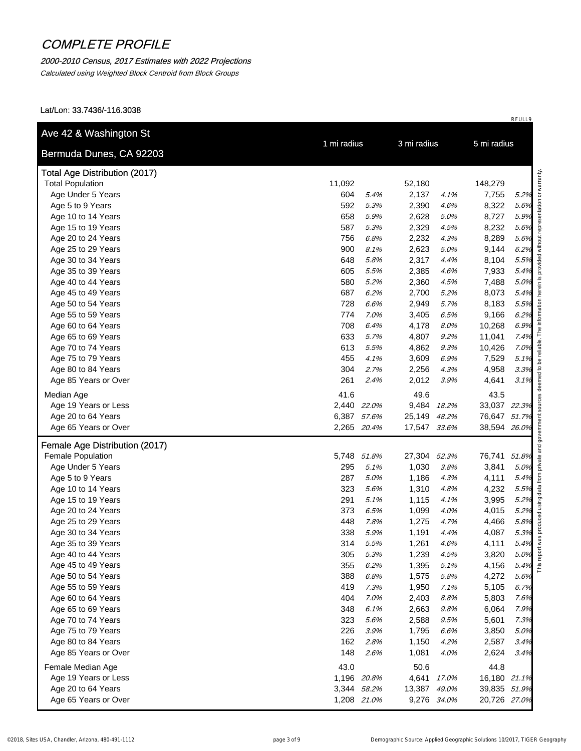### 2000-2010 Census, 2017 Estimates with 2022 Projections

Calculated using Weighted Block Centroid from Block Groups

| Bermuda Dunes, CA 92203              | 1 mi radius |             | 3 mi radius  |             | 5 mi radius  |      |  |
|--------------------------------------|-------------|-------------|--------------|-------------|--------------|------|--|
|                                      |             |             |              |             |              |      |  |
| <b>Total Age Distribution (2017)</b> |             |             |              |             |              |      |  |
| <b>Total Population</b>              | 11,092      |             | 52,180       |             | 148,279      |      |  |
| Age Under 5 Years                    | 604         | 5.4%        | 2,137        | 4.1%        | 7,755        | 5.2% |  |
| Age 5 to 9 Years                     | 592         | 5.3%        | 2,390        | 4.6%        | 8,322        | 5.6% |  |
| Age 10 to 14 Years                   | 658         | 5.9%        | 2,628        | 5.0%        | 8,727        | 5.9% |  |
| Age 15 to 19 Years                   | 587         | 5.3%        | 2,329        | 4.5%        | 8,232        | 5.6% |  |
| Age 20 to 24 Years                   | 756         | 6.8%        | 2,232        | 4.3%        | 8,289        | 5.6% |  |
| Age 25 to 29 Years                   | 900         | 8.1%        | 2,623        | 5.0%        | 9,144        | 6.2% |  |
| Age 30 to 34 Years                   | 648         | 5.8%        | 2,317        | 4.4%        | 8,104        | 5.5% |  |
| Age 35 to 39 Years                   | 605         | 5.5%        | 2,385        | 4.6%        | 7,933        | 5.4% |  |
| Age 40 to 44 Years                   | 580         | 5.2%        | 2,360        | 4.5%        | 7,488        | 5.0% |  |
| Age 45 to 49 Years                   | 687         | 6.2%        | 2,700        | 5.2%        | 8,073        | 5.4% |  |
| Age 50 to 54 Years                   | 728         | 6.6%        | 2,949        | 5.7%        | 8,183        | 5.5% |  |
| Age 55 to 59 Years                   | 774         | 7.0%        | 3,405        | 6.5%        | 9,166        | 6.2% |  |
| Age 60 to 64 Years                   | 708         | 6.4%        | 4,178        | 8.0%        | 10,268       | 6.9% |  |
| Age 65 to 69 Years                   | 633         | 5.7%        | 4,807        | 9.2%        | 11,041       | 7.4% |  |
| Age 70 to 74 Years                   | 613         | 5.5%        | 4,862        | 9.3%        | 10,426       | 7.0% |  |
| Age 75 to 79 Years                   | 455         | 4.1%        | 3,609        | 6.9%        | 7,529        | 5.1% |  |
| Age 80 to 84 Years                   | 304         | 2.7%        | 2,256        | 4.3%        | 4,958        | 3.3% |  |
| Age 85 Years or Over                 | 261         | 2.4%        | 2,012        | 3.9%        | 4,641        | 3.1% |  |
| Median Age                           | 41.6        |             | 49.6         |             | 43.5         |      |  |
| Age 19 Years or Less                 |             | 2,440 22.0% |              | 9,484 18.2% | 33,037 22.3% |      |  |
| Age 20 to 64 Years                   |             | 6,387 57.6% | 25,149 48.2% |             | 76,647 51.7% |      |  |
| Age 65 Years or Over                 |             | 2,265 20.4% | 17,547 33.6% |             | 38,594 26.0% |      |  |
| Female Age Distribution (2017)       |             |             |              |             |              |      |  |
| Female Population                    |             | 5,748 51.8% | 27,304       | 52.3%       | 76,741 51.8% |      |  |
| Age Under 5 Years                    | 295         | 5.1%        | 1,030        | 3.8%        | 3,841        | 5.0% |  |
| Age 5 to 9 Years                     | 287         | 5.0%        | 1,186        | 4.3%        | 4,111        | 5.4% |  |
| Age 10 to 14 Years                   | 323         | 5.6%        | 1,310        | 4.8%        | 4,232        | 5.5% |  |
| Age 15 to 19 Years                   | 291         | 5.1%        | 1,115        | 4.1%        | 3,995        | 5.2% |  |
| Age 20 to 24 Years                   | 373         | 6.5%        | 1,099        | 4.0%        | 4,015        | 5.2% |  |
| Age 25 to 29 Years                   | 448         | 7.8%        | 1,275        | 4.7%        | 4,466        | 5.8% |  |
| Age 30 to 34 Years                   | 338         | 5.9%        | 1,191        | 4.4%        | 4,087        | 5.3% |  |
| Age 35 to 39 Years                   | 314         | 5.5%        | 1,261        | 4.6%        | 4,111        | 5.4% |  |
| Age 40 to 44 Years                   | 305         | 5.3%        | 1,239        | 4.5%        | 3,820        | 5.0% |  |
| Age 45 to 49 Years                   | 355         | 6.2%        | 1,395        | 5.1%        | 4,156        | 5.4% |  |
| Age 50 to 54 Years                   | 388         | 6.8%        | 1,575        | 5.8%        | 4,272        | 5.6% |  |
| Age 55 to 59 Years                   | 419         | 7.3%        | 1,950        | 7.1%        | 5,105        | 6.7% |  |
| Age 60 to 64 Years                   | 404         | 7.0%        | 2,403        | 8.8%        | 5,803        | 7.6% |  |
| Age 65 to 69 Years                   | 348         | 6.1%        | 2,663        | 9.8%        | 6,064        | 7.9% |  |
| Age 70 to 74 Years                   | 323         | 5.6%        | 2,588        | 9.5%        | 5,601        | 7.3% |  |
| Age 75 to 79 Years                   | 226         | 3.9%        | 1,795        | 6.6%        | 3,850        | 5.0% |  |
| Age 80 to 84 Years                   | 162         | 2.8%        | 1,150        | 4.2%        | 2,587        | 3.4% |  |
| Age 85 Years or Over                 | 148         | 2.6%        | 1,081        | 4.0%        | 2,624        | 3.4% |  |
| Female Median Age                    | 43.0        |             | 50.6         |             | 44.8         |      |  |
| Age 19 Years or Less                 |             | 1,196 20.8% | 4,641        | 17.0%       | 16,180 21.1% |      |  |
| Age 20 to 64 Years                   |             | 3,344 58.2% | 13,387 49.0% |             | 39,835 51.9% |      |  |
| Age 65 Years or Over                 |             | 1,208 21.0% |              | 9,276 34.0% | 20,726 27.0% |      |  |
|                                      |             |             |              |             |              |      |  |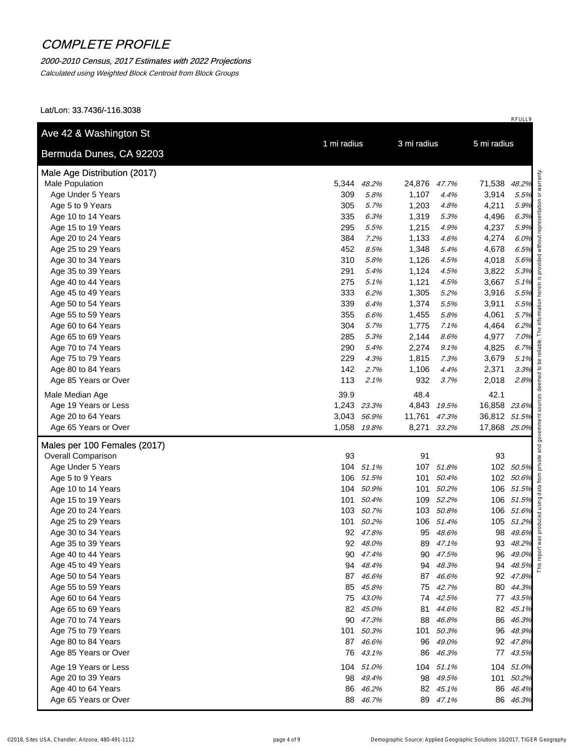### 2000-2010 Census, 2017 Estimates with 2022 Projections

Calculated using Weighted Block Centroid from Block Groups

| Bermuda Dunes, CA 92203      | 1 mi radius |             | 3 mi radius  |             | 5 mi radius  |           |  |
|------------------------------|-------------|-------------|--------------|-------------|--------------|-----------|--|
|                              |             |             |              |             |              |           |  |
| Male Age Distribution (2017) |             |             |              |             |              |           |  |
| Male Population              | 5,344       | 48.2%       | 24,876 47.7% |             | 71,538 48.2% |           |  |
| Age Under 5 Years            | 309         | 5.8%        | 1,107        | 4.4%        | 3,914        | 5.5%      |  |
| Age 5 to 9 Years             | 305         | 5.7%        | 1,203        | 4.8%        | 4,211        | 5.9%      |  |
| Age 10 to 14 Years           | 335         | 6.3%        | 1,319        | 5.3%        | 4,496        | 6.3%      |  |
| Age 15 to 19 Years           | 295         | 5.5%        | 1,215        | 4.9%        | 4,237        | 5.9%      |  |
| Age 20 to 24 Years           | 384         | 7.2%        | 1,133        | 4.6%        | 4,274        | 6.0%      |  |
| Age 25 to 29 Years           | 452         | 8.5%        | 1,348        | 5.4%        | 4,678        | 6.5%      |  |
| Age 30 to 34 Years           | 310         | 5.8%        | 1,126        | 4.5%        | 4,018        | 5.6%      |  |
| Age 35 to 39 Years           | 291         | 5.4%        | 1,124        | 4.5%        | 3,822        | 5.3%      |  |
| Age 40 to 44 Years           | 275         | 5.1%        | 1,121        | 4.5%        | 3,667        | 5.1%      |  |
| Age 45 to 49 Years           | 333         | 6.2%        | 1,305        | 5.2%        | 3,916        | 5.5%      |  |
| Age 50 to 54 Years           | 339         | 6.4%        | 1,374        | 5.5%        | 3,911        | 5.5%      |  |
| Age 55 to 59 Years           | 355         | 6.6%        | 1,455        | 5.8%        | 4,061        | 5.7%      |  |
| Age 60 to 64 Years           | 304         | 5.7%        | 1,775        | 7.1%        | 4,464        | 6.2%      |  |
| Age 65 to 69 Years           | 285         | 5.3%        | 2,144        | 8.6%        | 4,977        | 7.0%      |  |
| Age 70 to 74 Years           | 290         | 5.4%        | 2,274        | 9.1%        | 4,825        | 6.7%      |  |
| Age 75 to 79 Years           | 229         | 4.3%        | 1,815        | 7.3%        | 3,679        | 5.1%      |  |
| Age 80 to 84 Years           | 142         | 2.7%        | 1,106        | 4.4%        | 2,371        | 3.3%      |  |
| Age 85 Years or Over         | 113         | 2.1%        | 932          | 3.7%        | 2,018        | 2.8%      |  |
| Male Median Age              | 39.9        |             | 48.4         |             | 42.1         |           |  |
| Age 19 Years or Less         | 1,243 23.3% |             |              | 4,843 19.5% | 16,858 23.6% |           |  |
| Age 20 to 64 Years           |             | 3,043 56.9% | 11,761 47.3% |             | 36,812 51.5% |           |  |
| Age 65 Years or Over         | 1,058 19.8% |             |              | 8,271 33.2% | 17,868 25.0% |           |  |
| Males per 100 Females (2017) |             |             |              |             |              |           |  |
| <b>Overall Comparison</b>    | 93          |             | 91           |             | 93           |           |  |
| Age Under 5 Years            |             | 104 51.1%   |              | 107 51.8%   |              | 102 50.5% |  |
| Age 5 to 9 Years             |             | 106 51.5%   |              | 101 50.4%   |              | 102 50.6% |  |
| Age 10 to 14 Years           |             | 104 50.9%   |              | 101 50.2%   |              | 106 51.5% |  |
| Age 15 to 19 Years           |             | 101 50.4%   |              | 109 52.2%   |              | 106 51.5% |  |
| Age 20 to 24 Years           |             | 103 50.7%   |              | 103 50.8%   |              | 106 51.6% |  |
| Age 25 to 29 Years           |             | 101 50.2%   |              | 106 51.4%   |              | 105 51.2% |  |
| Age 30 to 34 Years           |             | 92 47.8%    |              | 95 48.6%    |              | 98 49.6%  |  |
| Age 35 to 39 Years           |             | 92 48.0%    |              | 89 47.1%    |              | 93 48.2%  |  |
| Age 40 to 44 Years           |             | 90 47.4%    |              | 90 47.5%    |              | 96 49.0%  |  |
| Age 45 to 49 Years           |             | 94 48.4%    | 94           | 48.3%       |              | 94 48.5%  |  |
| Age 50 to 54 Years           |             | 87 46.6%    |              | 87 46.6%    |              | 92 47.8%  |  |
| Age 55 to 59 Years           |             | 85 45.8%    |              | 75 42.7%    |              | 80 44.3%  |  |
| Age 60 to 64 Years           |             | 75 43.0%    |              | 74 42.5%    |              | 77 43.5%  |  |
| Age 65 to 69 Years           |             | 82 45.0%    | 81           | 44.6%       |              | 82 45.1%  |  |
| Age 70 to 74 Years           |             | 90 47.3%    | 88           | 46.8%       |              | 86 46.3%  |  |
| Age 75 to 79 Years           |             | 101 50.3%   |              | 101 50.3%   |              | 96 48.9%  |  |
| Age 80 to 84 Years           |             | 87 46.6%    |              | 96 49.0%    |              | 92 47.8%  |  |
| Age 85 Years or Over         |             | 76 43.1%    | 86           | 46.3%       |              | 77 43.5%  |  |
|                              |             |             |              |             |              |           |  |
| Age 19 Years or Less         |             | 104 51.0%   |              | 104 51.1%   |              | 104 51.0% |  |
| Age 20 to 39 Years           |             | 98 49.4%    |              | 98 49.5%    |              | 101 50.2% |  |
| Age 40 to 64 Years           |             | 86 46.2%    |              | 82 45.1%    |              | 86 46.4%  |  |
| Age 65 Years or Over         |             | 88 46.7%    |              | 89 47.1%    |              | 86 46.3%  |  |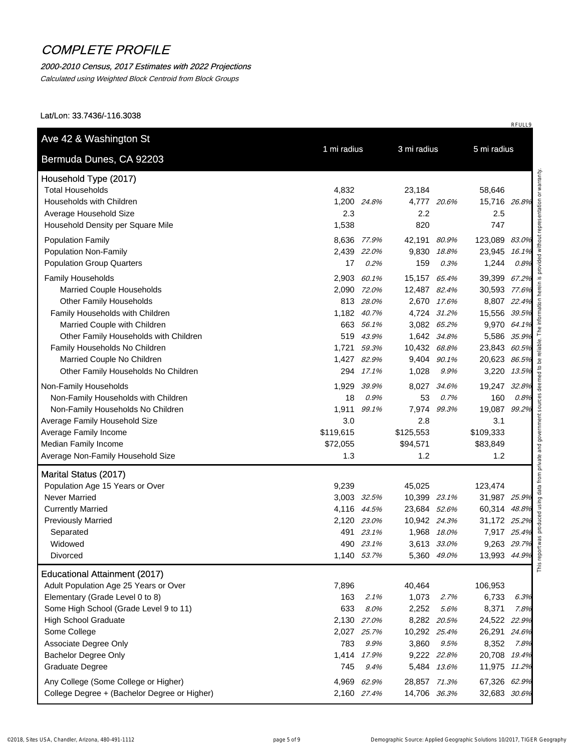#### 2000-2010 Census, 2017 Estimates with 2022 Projections

Calculated using Weighted Block Centroid from Block Groups

Lat/Lon: 33.7436/-116.3038

| Bermuda Dunes, CA 92203                      |             |             |              |             |               |       |  |
|----------------------------------------------|-------------|-------------|--------------|-------------|---------------|-------|--|
| Household Type (2017)                        |             |             |              |             |               |       |  |
| <b>Total Households</b>                      | 4,832       |             | 23,184       |             | 58,646        |       |  |
| Households with Children                     | 1,200 24.8% |             |              | 4,777 20.6% | 15,716 26.8%  |       |  |
| Average Household Size                       | 2.3         |             | 2.2          |             | 2.5           |       |  |
| Household Density per Square Mile            | 1,538       |             | 820          |             | 747           |       |  |
| <b>Population Family</b>                     | 8,636 77.9% |             | 42,191 80.9% |             | 123,089 83.0% |       |  |
| Population Non-Family                        |             | 2,439 22.0% |              | 9,830 18.8% | 23,945 16.1%  |       |  |
| <b>Population Group Quarters</b>             | 17          | 0.2%        | 159          | 0.3%        | 1,244         | 0.8%  |  |
| Family Households                            | 2,903       | 60.1%       | 15,157 65.4% |             | 39,399 67.2%  |       |  |
| <b>Married Couple Households</b>             |             | 2,090 72.0% | 12,487 82.4% |             | 30,593 77.6%  |       |  |
| <b>Other Family Households</b>               |             | 813 28.0%   |              | 2,670 17.6% | 8,807 22.4%   |       |  |
| Family Households with Children              |             | 1,182 40.7% |              | 4,724 31.2% | 15,556 39.5%  |       |  |
| Married Couple with Children                 |             | 663 56.1%   |              | 3,082 65.2% | 9,970 64.1%   |       |  |
| Other Family Households with Children        |             | 519 43.9%   |              | 1,642 34.8% | 5,586 35.9%   |       |  |
| Family Households No Children                | 1,721       | 59.3%       | 10,432 68.8% |             | 23,843 60.5%  |       |  |
| Married Couple No Children                   |             | 1,427 82.9% |              | 9,404 90.1% | 20,623 86.5%  |       |  |
| Other Family Households No Children          |             | 294 17.1%   | 1,028        | 9.9%        | 3,220 13.5%   |       |  |
| Non-Family Households                        | 1,929       | 39.9%       | 8,027        | 34.6%       | 19,247        | 32.8% |  |
| Non-Family Households with Children          | 18          | 0.9%        | 53           | 0.7%        | 160           | 0.8%  |  |
| Non-Family Households No Children            |             | 1,911 99.1% | 7,974        | 99.3%       | 19,087 99.2%  |       |  |
| Average Family Household Size                | 3.0         |             | 2.8          |             | 3.1           |       |  |
| Average Family Income                        | \$119,615   |             | \$125,553    |             | \$109,333     |       |  |
| Median Family Income                         | \$72,055    |             | \$94,571     |             | \$83,849      |       |  |
| Average Non-Family Household Size            | 1.3         |             | 1.2          |             | 1.2           |       |  |
| Marital Status (2017)                        |             |             |              |             |               |       |  |
| Population Age 15 Years or Over              | 9,239       |             | 45,025       |             | 123,474       |       |  |
| <b>Never Married</b>                         |             | 3,003 32.5% | 10,399 23.1% |             | 31,987 25.9%  |       |  |
| <b>Currently Married</b>                     |             | 4,116 44.5% | 23,684 52.6% |             | 60,314 48.8%  |       |  |
| <b>Previously Married</b>                    |             | 2,120 23.0% | 10,942 24.3% |             | 31,172 25.2%  |       |  |
| Separated                                    |             | 491 23.1%   |              | 1,968 18.0% | 7,917 25.4%   |       |  |
| Widowed                                      |             | 490 23.1%   |              | 3,613 33.0% | 9,263 29.7%   |       |  |
| <b>Divorced</b>                              |             | 1,140 53.7% |              | 5,360 49.0% | 13,993 44.9%  |       |  |
| <b>Educational Attainment (2017)</b>         |             |             |              |             |               |       |  |
| Adult Population Age 25 Years or Over        | 7,896       |             | 40,464       |             | 106,953       |       |  |
| Elementary (Grade Level 0 to 8)              | 163         | 2.1%        | 1,073        | 2.7%        | 6,733         | 6.3%  |  |
| Some High School (Grade Level 9 to 11)       | 633         | 8.0%        | 2,252        | 5.6%        | 8,371         | 7.8%  |  |
| <b>High School Graduate</b>                  | 2,130 27.0% |             |              | 8,282 20.5% | 24,522 22.9%  |       |  |
| Some College                                 |             | 2,027 25.7% | 10,292 25.4% |             | 26,291 24.6%  |       |  |
| Associate Degree Only                        | 783         | 9.9%        | 3,860        | 9.5%        | 8,352         | 7.8%  |  |
| <b>Bachelor Degree Only</b>                  |             | 1,414 17.9% |              | 9,222 22.8% | 20,708 19.4%  |       |  |
| Graduate Degree                              | 745         | 9.4%        |              | 5,484 13.6% | 11,975 11.2%  |       |  |
| Any College (Some College or Higher)         |             | 4,969 62.9% | 28,857 71.3% |             | 67,326 62.9%  |       |  |
| College Degree + (Bachelor Degree or Higher) |             | 2,160 27.4% | 14,706 36.3% |             | 32,683 30.6%  |       |  |
|                                              |             |             |              |             |               |       |  |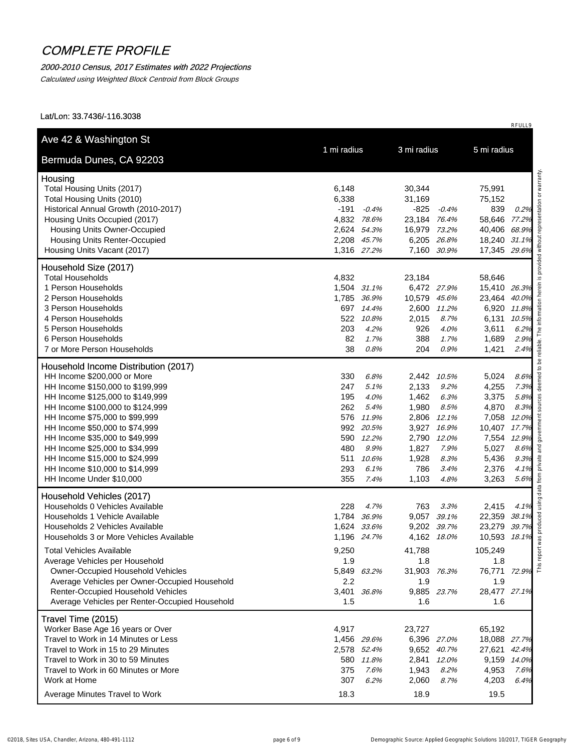### 2000-2010 Census, 2017 Estimates with 2022 Projections

Calculated using Weighted Block Centroid from Block Groups

Lat/Lon: 33.7436/-116.3038

| Bermuda Dunes, CA 92203                                          |                        |                 |                            |                      |       |
|------------------------------------------------------------------|------------------------|-----------------|----------------------------|----------------------|-------|
| Housing                                                          |                        |                 |                            |                      |       |
| Total Housing Units (2017)                                       | 6,148                  | 30,344          |                            | 75,991               |       |
| Total Housing Units (2010)                                       | 6,338                  | 31,169          |                            | 75,152               |       |
| Historical Annual Growth (2010-2017)                             | $-191$                 | $-0.4%$<br>-825 | $-0.4%$                    | 839                  | 0.2%  |
| Housing Units Occupied (2017)                                    | 4,832 78.6%            | 23,184 76.4%    |                            | 58,646 77.2%         |       |
| <b>Housing Units Owner-Occupied</b>                              | 2,624 54.3%            | 16,979 73.2%    |                            | 40,406 68.9%         |       |
| <b>Housing Units Renter-Occupied</b>                             | 2,208 45.7%            | 6,205 26.8%     |                            | 18,240 31.1%         |       |
| Housing Units Vacant (2017)                                      | 1,316 27.2%            |                 | 7,160 30.9%                | 17,345 29.6%         |       |
| Household Size (2017)                                            |                        |                 |                            |                      |       |
| <b>Total Households</b>                                          | 4,832                  | 23,184          |                            | 58,646               |       |
| 1 Person Households                                              | 1,504 31.1%            |                 | 6,472 27.9%                | 15,410 26.3%         |       |
| 2 Person Households                                              | 1,785 36.9%            | 10,579 45.6%    |                            | 23,464 40.0%         |       |
| 3 Person Households                                              | 697 14.4%              |                 | 2,600 11.2%                | 6,920 11.8%          |       |
| 4 Person Households                                              | 522                    | 10.8%<br>2,015  | 8.7%                       | 6,131                | 10.5% |
| 5 Person Households                                              | 203                    | 926<br>4.2%     | 4.0%                       | 3,611                | 6.2%  |
| 6 Person Households                                              | 82                     | 388<br>1.7%     | 1.7%                       | 1,689                | 2.9%  |
| 7 or More Person Households                                      | 38                     | 204<br>0.8%     | 0.9%                       | 1,421                | 2.4%  |
| Household Income Distribution (2017)                             |                        |                 |                            |                      |       |
| HH Income \$200,000 or More                                      | 330                    | 6.8%            | 2,442 10.5%                | 5,024                | 8.6%  |
| HH Income \$150,000 to \$199,999                                 | 247                    | 2,133<br>5.1%   | 9.2%                       | 4,255                | 7.3%  |
| HH Income \$125,000 to \$149,999                                 | 195                    | 1,462<br>4.0%   | 6.3%                       | 3,375                | 5.8%  |
| HH Income \$100,000 to \$124,999                                 | 262                    | 1,980<br>5.4%   | 8.5%                       | 4,870                | 8.3%  |
| HH Income \$75,000 to \$99,999                                   | 576 11.9%              |                 | 2,806 12.1%                | 7,058 12.0%          |       |
| HH Income \$50,000 to \$74,999                                   | 992 20.5%<br>590 12.2% |                 | 3,927 16.9%<br>2,790 12.0% | 10,407 17.7%         |       |
| HH Income \$35,000 to \$49,999<br>HH Income \$25,000 to \$34,999 | 480                    | 1,827<br>9.9%   | 7.9%                       | 7,554 12.9%<br>5,027 | 8.6%  |
| HH Income \$15,000 to \$24,999                                   | 511                    | 1,928<br>10.6%  | 8.3%                       | 5,436                | 9.3%  |
| HH Income \$10,000 to \$14,999                                   | 293                    | 786<br>6.1%     | 3.4%                       | 2,376                | 4.1%  |
| HH Income Under \$10,000                                         | 355                    | 1,103<br>7.4%   | 4.8%                       | 3,263                | 5.6%  |
| Household Vehicles (2017)                                        |                        |                 |                            |                      |       |
| Households 0 Vehicles Available                                  | 228                    | 4.7%<br>763     | 3.3%                       | 2,415                | 4.1%  |
| Households 1 Vehicle Available                                   | 1,784                  | 36.9%<br>9,057  | 39.1%                      | 22,359 38.1%         |       |
| Households 2 Vehicles Available                                  | 1,624 33.6%            |                 | 9,202 39.7%                | 23,279 39.7%         |       |
| Households 3 or More Vehicles Available                          | 1,196 24.7%            |                 | 4,162 18.0%                | 10,593 18.1%         |       |
| <b>Total Vehicles Available</b>                                  | 9,250                  | 41,788          |                            | 105,249              |       |
| Average Vehicles per Household                                   | 1.9                    | 1.8             |                            | 1.8                  |       |
| Owner-Occupied Household Vehicles                                | 5,849 63.2%            | 31,903 76.3%    |                            | 76,771 72.9%         |       |
| Average Vehicles per Owner-Occupied Household                    | 2.2                    | 1.9             |                            | 1.9                  |       |
| Renter-Occupied Household Vehicles                               | 3,401 36.8%            |                 | 9,885 23.7%                | 28,477 27.1%         |       |
| Average Vehicles per Renter-Occupied Household                   | 1.5                    | 1.6             |                            | 1.6                  |       |
| Travel Time (2015)                                               |                        |                 |                            |                      |       |
| Worker Base Age 16 years or Over                                 | 4,917                  | 23,727          |                            | 65,192               |       |
| Travel to Work in 14 Minutes or Less                             | 1,456 29.6%            |                 | 6,396 27.0%                | 18,088 27.7%         |       |
| Travel to Work in 15 to 29 Minutes                               | 2,578 52.4%            |                 | 9,652 40.7%                | 27,621 42.4%         |       |
| Travel to Work in 30 to 59 Minutes                               | 580 11.8%              | 2,841           | 12.0%                      | 9,159 14.0%          |       |
| Travel to Work in 60 Minutes or More                             | 375                    | 7.6%<br>1,943   | 8.2%                       | 4,953                | 7.6%  |
| Work at Home                                                     | 307                    | 6.2%<br>2,060   | 8.7%                       | 4,203                | 6.4%  |
| Average Minutes Travel to Work                                   | 18.3                   | 18.9            |                            | 19.5                 |       |
|                                                                  |                        |                 |                            |                      |       |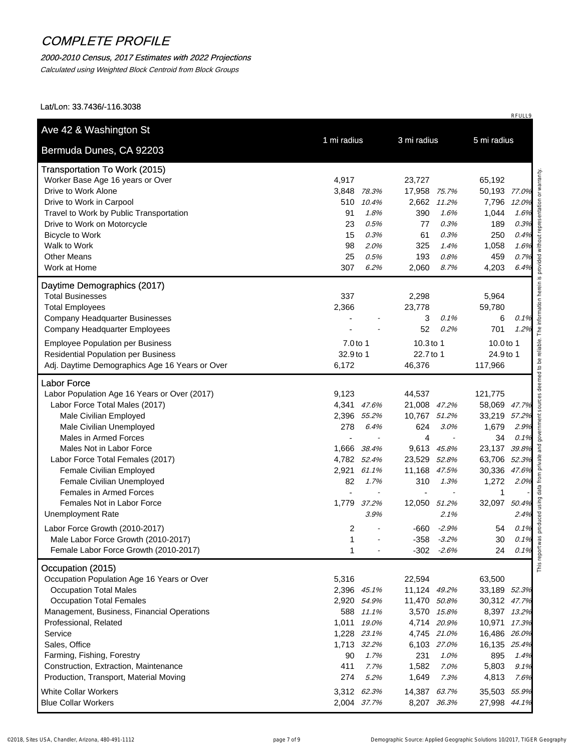### 2000-2010 Census, 2017 Estimates with 2022 Projections

Calculated using Weighted Block Centroid from Block Groups

| Bermuda Dunes, CA 92203                        | 1 mi radius  |             | 3 mi radius    |               | 5 mi radius  |       |
|------------------------------------------------|--------------|-------------|----------------|---------------|--------------|-------|
| <b>Transportation To Work (2015)</b>           |              |             |                |               |              |       |
| Worker Base Age 16 years or Over               | 4,917        |             | 23,727         |               | 65,192       |       |
| Drive to Work Alone                            | 3,848        | 78.3%       | 17,958         | 75.7%         | 50,193 77.0% |       |
| Drive to Work in Carpool                       | 510          | 10.4%       | 2,662          | 11.2%         | 7,796        | 12.0% |
| Travel to Work by Public Transportation        | 91           | 1.8%        | 390            | 1.6%          | 1,044        | 1.6%  |
| Drive to Work on Motorcycle                    | 23           | 0.5%        | 77             | 0.3%          | 189          | 0.3%  |
| <b>Bicycle to Work</b>                         | 15           | 0.3%        | 61             | 0.3%          | 250          | 0.4%  |
| Walk to Work                                   | 98           | 2.0%        | 325            | 1.4%          | 1,058        | 1.6%  |
| <b>Other Means</b>                             | 25           | 0.5%        | 193            | 0.8%          | 459          | 0.7%  |
| Work at Home                                   | 307          | 6.2%        | 2,060          | 8.7%          | 4,203        | 6.4%  |
| Daytime Demographics (2017)                    |              |             |                |               |              |       |
| <b>Total Businesses</b>                        | 337          |             | 2,298          |               | 5,964        |       |
| <b>Total Employees</b>                         | 2,366        |             | 23,778         |               | 59,780       |       |
| <b>Company Headquarter Businesses</b>          |              |             | 3              | 0.1%          | 6            | 0.1%  |
| Company Headquarter Employees                  |              |             | 52             | 0.2%          | 701          | 1.2%  |
| <b>Employee Population per Business</b>        | 7.0 to 1     |             | 10.3 to 1      |               | 10.0 to 1    |       |
| <b>Residential Population per Business</b>     | 32.9 to 1    |             | 22.7 to 1      |               | 24.9 to 1    |       |
| Adj. Daytime Demographics Age 16 Years or Over | 6,172        |             | 46,376         |               | 117,966      |       |
| <b>Labor Force</b>                             |              |             |                |               |              |       |
| Labor Population Age 16 Years or Over (2017)   | 9,123        |             | 44,537         |               | 121,775      |       |
| Labor Force Total Males (2017)                 | 4,341 47.6%  |             | 21,008 47.2%   |               | 58,069 47.7% |       |
| Male Civilian Employed                         | 2,396 55.2%  |             | 10,767 51.2%   |               | 33,219       | 57.2% |
| Male Civilian Unemployed                       | 278          | 6.4%        | 624            | 3.0%          | 1,679        | 2.9%  |
| Males in Armed Forces                          |              |             | $\overline{4}$ |               | 34           | 0.1%  |
| Males Not in Labor Force                       | 1,666        | 38.4%       | 9,613          | 45.8%         | 23,137       | 39.8% |
| Labor Force Total Females (2017)               | 4,782 52.4%  |             | 23,529         | 52.8%         | 63,706 52.3% |       |
| Female Civilian Employed                       | 2,921 61.1%  |             | 11,168         | 47.5%         | 30,336       | 47.6% |
| Female Civilian Unemployed                     | 82           | 1.7%        | 310            | 1.3%          | 1,272        | 2.0%  |
| <b>Females in Armed Forces</b>                 |              |             |                |               | 1            |       |
| Females Not in Labor Force                     | 1,779        | 37.2%       | 12,050         | 51.2%         | 32,097 50.4% |       |
| <b>Unemployment Rate</b>                       |              | 3.9%        |                | 2.1%          |              | 2.4%  |
| Labor Force Growth (2010-2017)                 | 2            |             | -660           | $-2.9%$       | 54           | 0.1%  |
| Male Labor Force Growth (2010-2017)            | $\mathbf{1}$ |             | $-358$         | $-3.2%$       | 30           | 0.1%  |
| Female Labor Force Growth (2010-2017)          | 1            |             |                | $-302 - 2.6%$ | 24           | 0.1%  |
| Occupation (2015)                              |              |             |                |               |              |       |
| Occupation Population Age 16 Years or Over     | 5,316        |             | 22,594         |               | 63,500       |       |
| <b>Occupation Total Males</b>                  | 2,396 45.1%  |             | 11,124 49.2%   |               | 33,189 52.3% |       |
| <b>Occupation Total Females</b>                |              | 2,920 54.9% | 11,470 50.8%   |               | 30,312 47.7% |       |
| Management, Business, Financial Operations     |              | 588 11.1%   |                | 3,570 15.8%   | 8,397 13.2%  |       |
| Professional, Related                          | 1,011        | 19.0%       |                | 4,714 20.9%   | 10,971 17.3% |       |
| Service                                        |              | 1,228 23.1% |                | 4,745 21.0%   | 16,486 26.0% |       |
| Sales, Office                                  | 1,713 32.2%  |             |                | 6,103 27.0%   | 16,135 25.4% |       |
| Farming, Fishing, Forestry                     | 90           | 1.7%        | 231            | 1.0%          | 895          | 1.4%  |
| Construction, Extraction, Maintenance          | 411          | 7.7%        | 1,582          | 7.0%          | 5,803        | 9.1%  |
| Production, Transport, Material Moving         | 274          | 5.2%        | 1,649          | 7.3%          | 4,813        | 7.6%  |
| <b>White Collar Workers</b>                    | 3,312 62.3%  |             | 14,387 63.7%   |               | 35,503 55.9% |       |
| <b>Blue Collar Workers</b>                     | 2,004 37.7%  |             |                | 8,207 36.3%   | 27,998 44.1% |       |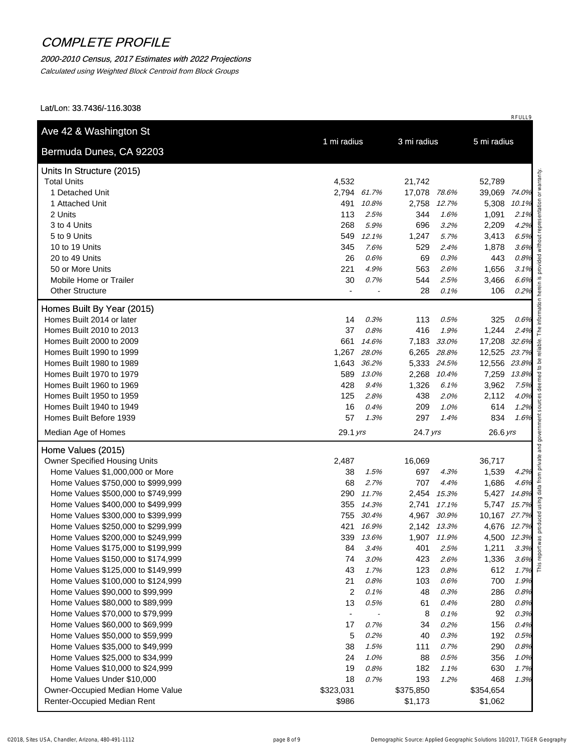#### 2000-2010 Census, 2017 Estimates with 2022 Projections

Calculated using Weighted Block Centroid from Block Groups

| Bermuda Dunes, CA 92203                                        | 1 mi radius              |       | 3 mi radius  |             | 5 mi radius  |              |
|----------------------------------------------------------------|--------------------------|-------|--------------|-------------|--------------|--------------|
|                                                                |                          |       |              |             |              |              |
| Units In Structure (2015)                                      |                          |       |              |             |              |              |
| <b>Total Units</b>                                             | 4,532                    |       | 21,742       |             | 52,789       |              |
| 1 Detached Unit                                                | 2,794 61.7%              |       | 17,078 78.6% |             | 39,069 74.0% |              |
| 1 Attached Unit                                                | 491                      | 10.8% | 2,758        | 12.7%       | 5,308 10.1%  |              |
| 2 Units                                                        | 113                      | 2.5%  | 344          | 1.6%        | 1,091        | 2.1%         |
| 3 to 4 Units                                                   | 268                      | 5.9%  | 696          | 3.2%        | 2,209        | 4.2%         |
| 5 to 9 Units                                                   | 549                      | 12.1% | 1,247        | 5.7%        | 3,413        | 6.5%         |
| 10 to 19 Units                                                 | 345                      | 7.6%  | 529          | 2.4%        | 1,878        | 3.6%         |
| 20 to 49 Units                                                 | 26                       | 0.6%  | 69           | 0.3%        | 443          | 0.8%         |
| 50 or More Units                                               | 221                      | 4.9%  | 563          | 2.6%        | 1,656        | 3.1%         |
| Mobile Home or Trailer                                         | 30                       | 0.7%  | 544          | 2.5%        | 3,466        | 6.6%<br>0.2% |
| <b>Other Structure</b>                                         |                          |       | 28           | 0.1%        | 106          |              |
| Homes Built By Year (2015)                                     |                          |       |              |             |              |              |
| Homes Built 2014 or later                                      | 14                       | 0.3%  | 113          | 0.5%        | 325          | 0.6%         |
| Homes Built 2010 to 2013                                       | 37                       | 0.8%  | 416          | 1.9%        | 1,244        | 2.4%         |
| Homes Built 2000 to 2009                                       | 661                      | 14.6% | 7,183        | 33.0%       | 17,208 32.6% |              |
| Homes Built 1990 to 1999                                       | 1,267                    | 28.0% |              | 6,265 28.8% | 12,525 23.7% |              |
| Homes Built 1980 to 1989                                       | 1,643                    | 36.2% |              | 5,333 24.5% | 12,556 23.8% |              |
| Homes Built 1970 to 1979                                       | 589                      | 13.0% | 2,268        | 10.4%       | 7,259        | 13.8%        |
| Homes Built 1960 to 1969                                       | 428                      | 9.4%  | 1,326        | 6.1%        | 3,962        | 7.5%         |
| Homes Built 1950 to 1959                                       | 125                      | 2.8%  | 438          | 2.0%        | 2,112        | 4.0%         |
| Homes Built 1940 to 1949                                       | 16                       | 0.4%  | 209          | 1.0%        | 614          | 1.2%         |
| Homes Built Before 1939                                        | 57                       | 1.3%  | 297          | 1.4%        | 834          | 1.6%         |
| Median Age of Homes                                            | 29.1 yrs                 |       | 24.7 yrs     |             | $26.6$ yrs   |              |
| Home Values (2015)                                             |                          |       |              |             |              |              |
| Owner Specified Housing Units                                  | 2,487                    |       | 16,069       |             | 36,717       |              |
| Home Values \$1,000,000 or More                                | 38                       | 1.5%  | 697          | 4.3%        | 1,539        | 4.2%         |
| Home Values \$750,000 to \$999,999                             | 68                       | 2.7%  | 707          | 4.4%        | 1,686        | 4.6%         |
| Home Values \$500,000 to \$749,999                             | 290                      | 11.7% | 2,454        | 15.3%       | 5,427        | 14.8%        |
| Home Values \$400,000 to \$499,999                             | 355                      | 14.3% | 2,741        | 17.1%       | 5,747 15.7%  |              |
| Home Values \$300,000 to \$399,999                             | 755                      | 30.4% |              | 4,967 30.9% | 10,167 27.7% |              |
| Home Values \$250,000 to \$299,999                             | 421                      | 16.9% |              | 2,142 13.3% | 4,676 12.7%  |              |
| Home Values \$200,000 to \$249,999                             | 339                      | 13.6% |              | 1,907 11.9% | 4,500 12.3%  |              |
| Home Values \$175,000 to \$199,999                             | 84                       | 3.4%  | 401          | 2.5%        | 1,211        | 3.3%         |
| Home Values \$150,000 to \$174,999                             | 74                       | 3.0%  | 423          | 2.6%        | 1,336        | 3.6%         |
| Home Values \$125,000 to \$149,999                             | 43                       | 1.7%  | 123          | 0.8%        | 612          | 1.7%         |
| Home Values \$100,000 to \$124,999                             | 21                       | 0.8%  | 103          | 0.6%        | 700          | 1.9%         |
| Home Values \$90,000 to \$99,999                               | $\overline{c}$           | 0.1%  | 48           | 0.3%        | 286          | 0.8%         |
| Home Values \$80,000 to \$89,999                               | 13                       | 0.5%  | 61           | 0.4%        | 280          | 0.8%         |
| Home Values \$70,000 to \$79,999                               | $\overline{\phantom{a}}$ |       | 8            | 0.1%        | 92           | 0.3%         |
| Home Values \$60,000 to \$69,999                               | 17                       | 0.7%  | 34           | 0.2%        | 156          | 0.4%         |
| Home Values \$50,000 to \$59,999                               | 5                        | 0.2%  | 40           | 0.3%        | 192          | 0.5%         |
| Home Values \$35,000 to \$49,999                               | 38                       | 1.5%  | 111          | 0.7%        | 290          | 0.8%         |
| Home Values \$25,000 to \$34,999                               | 24                       | 1.0%  | 88           | 0.5%        | 356          | 1.0%         |
| Home Values \$10,000 to \$24,999<br>Home Values Under \$10,000 | 19                       | 0.8%  | 182          | 1.1%        | 630          | 1.7%         |
|                                                                | 18                       | 0.7%  | 193          | 1.2%        | 468          | 1.3%         |
| Owner-Occupied Median Home Value                               | \$323,031                |       | \$375,850    |             | \$354,654    |              |
| Renter-Occupied Median Rent                                    | \$986                    |       | \$1,173      |             | \$1,062      |              |